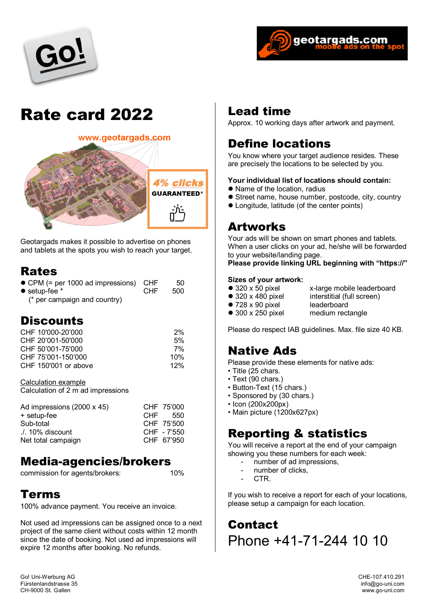



# Rate card 2022



Geotargads makes it possible to advertise on phones and tablets at the spots you wish to reach your target.

#### Rates

| • CPM (= per 1000 ad impressions) CHF |      | 50. |
|---------------------------------------|------|-----|
| $\bullet$ setup-fee $*$               | CHE. | 500 |
| $\lambda$ nor campaign and country    |      |     |

(\* per campaign and country)

#### **Discounts**

| CHF 10'000-20'000    | 2%  |
|----------------------|-----|
| CHF 20'001-50'000    | 5%  |
| CHF 50'001-75'000    | 7%  |
| CHF 75'001-150'000   | 10% |
| CHF 150'001 or above | 12% |

Calculation example Calculation of 2 m ad impressions

| Ad impressions (2000 x 45) | CHF 75'000  |
|----------------------------|-------------|
| + setup-fee                | CHF 550     |
| Sub-total                  | CHF 75'500  |
| $\Lambda$ . 10% discount   | CHF - 7'550 |
| Net total campaign         | CHF 67'950  |

#### Media-agencies/brokers

commission for agents/brokers: 10%

#### Terms

100% advance payment. You receive an invoice.

Not used ad impressions can be assigned once to a next project of the same client without costs within 12 month since the date of booking. Not used ad impressions will expire 12 months after booking. No refunds.

#### Lead time

Approx. 10 working days after artwork and payment.

### Define locations

You know where your target audience resides. These are precisely the locations to be selected by you.

#### **Your individual list of locations should contain:**

- Name of the location, radius
- **•** Street name, house number, postcode, city, country
- Longitude, latitude (of the center points)

#### Artworks

Your ads will be shown on smart phones and tablets. When a user clicks on your ad, he/she will be forwarded to your website/landing page.

#### **Please provide linking URL beginning with "https://"**

## **Sizes of your artwork:**<br>● 320 x 50 pixel

- 
- 
- 320 x 50 pixel x-large mobile leaderboard<br>● 320 x 480 pixel interstitial (full screen)
	-
- $\bullet$  728 x 90 pixel<br> $\bullet$  300 x 250 pixel
- interstitial (full screen)<br>leaderboard
- 
- - medium rectangle

Please do respect IAB guidelines. Max. file size 40 KB.

#### Native Ads

Please provide these elements for native ads:

- Title (25 chars.
- Text (90 chars.)
- Button-Text (15 chars.)
- Sponsored by (30 chars.)
- Icon (200x200px)
- Main picture (1200x627px)

#### Reporting & statistics

You will receive a report at the end of your campaign showing you these numbers for each week:

- number of ad impressions,
- number of clicks.
- CTR.

If you wish to receive a report for each of your locations, please setup a campaign for each location.

**Contact** Phone +41-71-244 10 10